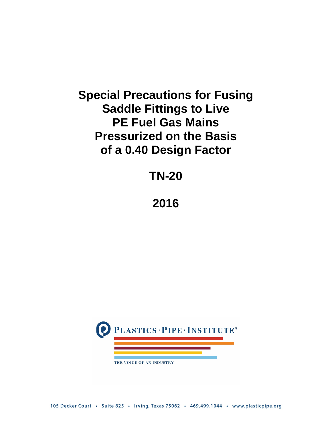# **Special Precautions for Fusing Saddle Fittings to Live PE Fuel Gas Mains Pressurized on the Basis of a 0.40 Design Factor**

# **TN-20**

## **2016**

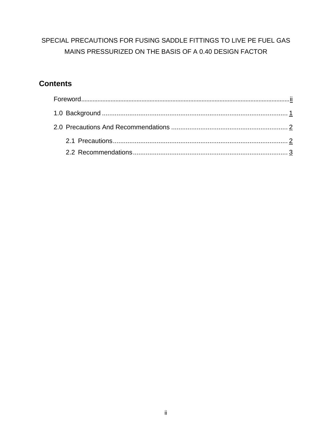## SPECIAL PRECAUTIONS FOR FUSING SADDLE FITTINGS TO LIVE PE FUEL GAS MAINS PRESSURIZED ON THE BASIS OF A 0.40 DESIGN FACTOR

## **Contents**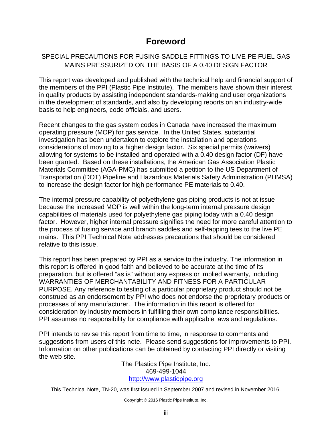## **Foreword**

## <span id="page-2-0"></span>SPECIAL PRECAUTIONS FOR FUSING SADDLE FITTINGS TO LIVE PE FUEL GAS MAINS PRESSURIZED ON THE BASIS OF A 0.40 DESIGN FACTOR

This report was developed and published with the technical help and financial support of the members of the PPI (Plastic Pipe Institute). The members have shown their interest in quality products by assisting independent standards-making and user organizations in the development of standards, and also by developing reports on an industry-wide basis to help engineers, code officials, and users.

Recent changes to the gas system codes in Canada have increased the maximum operating pressure (MOP) for gas service. In the United States, substantial investigation has been undertaken to explore the installation and operations considerations of moving to a higher design factor. Six special permits (waivers) allowing for systems to be installed and operated with a 0.40 design factor (DF) have been granted. Based on these installations, the American Gas Association Plastic Materials Committee (AGA-PMC) has submitted a petition to the US Department of Transportation (DOT) Pipeline and Hazardous Materials Safety Administration (PHMSA) to increase the design factor for high performance PE materials to 0.40.

The internal pressure capability of polyethylene gas piping products is not at issue because the increased MOP is well within the long-term internal pressure design capabilities of materials used for polyethylene gas piping today with a 0.40 design factor. However, higher internal pressure signifies the need for more careful attention to the process of fusing service and branch saddles and self-tapping tees to the live PE mains. This PPI Technical Note addresses precautions that should be considered relative to this issue.

This report has been prepared by PPI as a service to the industry. The information in this report is offered in good faith and believed to be accurate at the time of its preparation, but is offered "as is" without any express or implied warranty, including WARRANTIES OF MERCHANTABILITY AND FITNESS FOR A PARTICULAR PURPOSE. Any reference to testing of a particular proprietary product should not be construed as an endorsement by PPI who does not endorse the proprietary products or processes of any manufacturer. The information in this report is offered for consideration by industry members in fulfilling their own compliance responsibilities. PPI assumes no responsibility for compliance with applicable laws and regulations.

PPI intends to revise this report from time to time, in response to comments and suggestions from users of this note. Please send suggestions for improvements to PPI. Information on other publications can be obtained by contacting PPI directly or visiting the web site.

The Plastics Pipe Institute, Inc. 469-499-1044 [http://www.plasticpipe.org](http://www.plasticpipe.org/)

This Technical Note, TN-20, was first issued in September 2007 and revised in November 2016.

Copyright © 2016 Plastic Pipe Institute, Inc.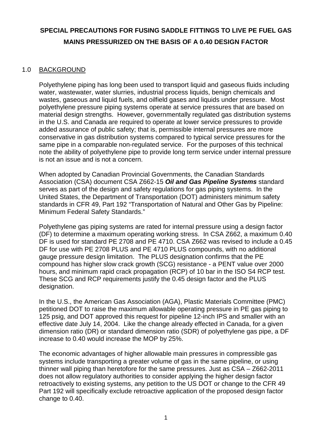## **SPECIAL PRECAUTIONS FOR FUSING SADDLE FITTINGS TO LIVE PE FUEL GAS MAINS PRESSURIZED ON THE BASIS OF A 0.40 DESIGN FACTOR**

### 1.0 BACKGROUND

<span id="page-3-0"></span>Polyethylene piping has long been used to transport liquid and gaseous fluids including water, wastewater, water slurries, industrial process liquids, benign chemicals and wastes, gaseous and liquid fuels, and oilfield gases and liquids under pressure. Most polyethylene pressure piping systems operate at service pressures that are based on material design strengths. However, governmentally regulated gas distribution systems in the U.S. and Canada are required to operate at lower service pressures to provide added assurance of public safety; that is, permissible internal pressures are more conservative in gas distribution systems compared to typical service pressures for the same pipe in a comparable non-regulated service. For the purposes of this technical note the ability of polyethylene pipe to provide long term service under internal pressure is not an issue and is not a concern.

When adopted by Canadian Provincial Governments, the Canadian Standards Association (CSA) document CSA Z662-15 *Oil and Gas Pipeline Systems* standard serves as part of the design and safety regulations for gas piping systems. In the United States, the Department of Transportation (DOT) administers minimum safety standards in CFR 49, Part 192 "Transportation of Natural and Other Gas by Pipeline: Minimum Federal Safety Standards."

Polyethylene gas piping systems are rated for internal pressure using a design factor (DF) to determine a maximum operating working stress. In CSA Z662, a maximum 0.40 DF is used for standard PE 2708 and PE 4710. CSA Z662 was revised to include a 0.45 DF for use with PE 2708 PLUS and PE 4710 PLUS compounds, with no additional gauge pressure design limitation. The PLUS designation confirms that the PE compound has higher slow crack growth (SCG) resistance - a PENT value over 2000 hours, and minimum rapid crack propagation (RCP) of 10 bar in the ISO S4 RCP test. These SCG and RCP requirements justify the 0.45 design factor and the PLUS designation.

In the U.S., the American Gas Association (AGA), Plastic Materials Committee (PMC) petitioned DOT to raise the maximum allowable operating pressure in PE gas piping to 125 psig, and DOT approved this request for pipeline 12-inch IPS and smaller with an effective date July 14, 2004. Like the change already effected in Canada, for a given dimension ratio (DR) or standard dimension ratio (SDR) of polyethylene gas pipe, a DF increase to 0.40 would increase the MOP by 25%.

The economic advantages of higher allowable main pressures in compressible gas systems include transporting a greater volume of gas in the same pipeline, or using thinner wall piping than heretofore for the same pressures. Just as CSA – Z662-2011 does not allow regulatory authorities to consider applying the higher design factor retroactively to existing systems, any petition to the US DOT or change to the CFR 49 Part 192 will specifically exclude retroactive application of the proposed design factor change to 0.40.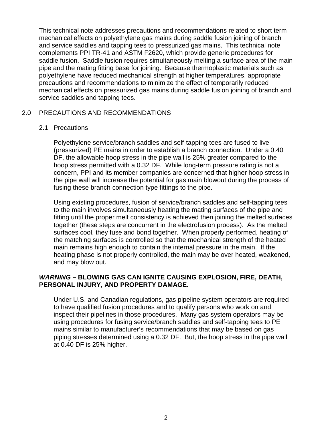This technical note addresses precautions and recommendations related to short term mechanical effects on polyethylene gas mains during saddle fusion joining of branch and service saddles and tapping tees to pressurized gas mains. This technical note complements PPI TR-41 and ASTM F2620, which provide generic procedures for saddle fusion. Saddle fusion requires simultaneously melting a surface area of the main pipe and the mating fitting base for joining. Because thermoplastic materials such as polyethylene have reduced mechanical strength at higher temperatures, appropriate precautions and recommendations to minimize the effect of temporarily reduced mechanical effects on pressurized gas mains during saddle fusion joining of branch and service saddles and tapping tees.

### 2.0 PRECAUTIONS AND RECOMMENDATIONS

#### <span id="page-4-1"></span><span id="page-4-0"></span>2.1 Precautions

Polyethylene service/branch saddles and self-tapping tees are fused to live (pressurized) PE mains in order to establish a branch connection. Under a 0.40 DF, the allowable hoop stress in the pipe wall is 25% greater compared to the hoop stress permitted with a 0.32 DF. While long-term pressure rating is not a concern, PPI and its member companies are concerned that higher hoop stress in the pipe wall will increase the potential for gas main blowout during the process of fusing these branch connection type fittings to the pipe.

Using existing procedures, fusion of service/branch saddles and self-tapping tees to the main involves simultaneously heating the mating surfaces of the pipe and fitting until the proper melt consistency is achieved then joining the melted surfaces together (these steps are concurrent in the electrofusion process). As the melted surfaces cool, they fuse and bond together. When properly performed, heating of the matching surfaces is controlled so that the mechanical strength of the heated main remains high enough to contain the internal pressure in the main. If the heating phase is not properly controlled, the main may be over heated, weakened, and may blow out.

### *WARNING* **– BLOWING GAS CAN IGNITE CAUSING EXPLOSION, FIRE, DEATH, PERSONAL INJURY, AND PROPERTY DAMAGE.**

Under U.S. and Canadian regulations, gas pipeline system operators are required to have qualified fusion procedures and to qualify persons who work on and inspect their pipelines in those procedures. Many gas system operators may be using procedures for fusing service/branch saddles and self-tapping tees to PE mains similar to manufacturer's recommendations that may be based on gas piping stresses determined using a 0.32 DF. But, the hoop stress in the pipe wall at 0.40 DF is 25% higher.